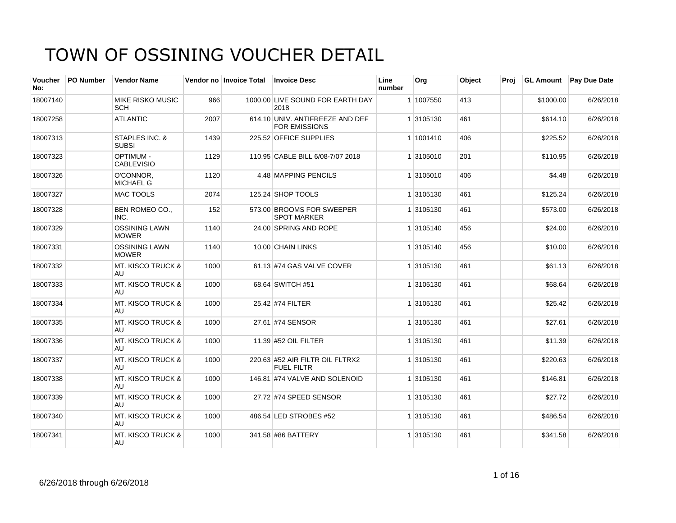| <b>Voucher</b><br>No: | <b>PO Number</b> | <b>Vendor Name</b>                    |      | Vendor no Invoice Total | <b>Invoice Desc</b>                                  | Line<br>number | Org       | Object | Proi |           | GL Amount Pay Due Date |
|-----------------------|------------------|---------------------------------------|------|-------------------------|------------------------------------------------------|----------------|-----------|--------|------|-----------|------------------------|
| 18007140              |                  | <b>MIKE RISKO MUSIC</b><br><b>SCH</b> | 966  |                         | 1000.00 LIVE SOUND FOR EARTH DAY<br>2018             |                | 1 1007550 | 413    |      | \$1000.00 | 6/26/2018              |
| 18007258              |                  | <b>ATLANTIC</b>                       | 2007 |                         | 614.10 UNIV. ANTIFREEZE AND DEF<br>FOR EMISSIONS     |                | 1 3105130 | 461    |      | \$614.10  | 6/26/2018              |
| 18007313              |                  | STAPLES INC. &<br><b>SUBSI</b>        | 1439 |                         | 225.52 OFFICE SUPPLIES                               |                | 1 1001410 | 406    |      | \$225.52  | 6/26/2018              |
| 18007323              |                  | <b>OPTIMUM -</b><br><b>CABLEVISIO</b> | 1129 |                         | 110.95 CABLE BILL 6/08-7/07 2018                     |                | 1 3105010 | 201    |      | \$110.95  | 6/26/2018              |
| 18007326              |                  | O'CONNOR,<br><b>MICHAEL G</b>         | 1120 |                         | 4.48 MAPPING PENCILS                                 |                | 1 3105010 | 406    |      | \$4.48    | 6/26/2018              |
| 18007327              |                  | <b>MAC TOOLS</b>                      | 2074 |                         | 125.24 SHOP TOOLS                                    |                | 1 3105130 | 461    |      | \$125.24  | 6/26/2018              |
| 18007328              |                  | BEN ROMEO CO.,<br>INC.                | 152  |                         | 573.00 BROOMS FOR SWEEPER<br><b>SPOT MARKER</b>      |                | 1 3105130 | 461    |      | \$573.00  | 6/26/2018              |
| 18007329              |                  | <b>OSSINING LAWN</b><br><b>MOWER</b>  | 1140 |                         | 24.00 SPRING AND ROPE                                |                | 1 3105140 | 456    |      | \$24.00   | 6/26/2018              |
| 18007331              |                  | <b>OSSINING LAWN</b><br><b>MOWER</b>  | 1140 |                         | 10.00 CHAIN LINKS                                    |                | 1 3105140 | 456    |      | \$10.00   | 6/26/2018              |
| 18007332              |                  | <b>MT. KISCO TRUCK &amp;</b><br>AU    | 1000 |                         | 61.13 #74 GAS VALVE COVER                            |                | 1 3105130 | 461    |      | \$61.13   | 6/26/2018              |
| 18007333              |                  | <b>MT. KISCO TRUCK &amp;</b><br>AU    | 1000 |                         | 68.64 SWITCH #51                                     |                | 1 3105130 | 461    |      | \$68.64   | 6/26/2018              |
| 18007334              |                  | <b>MT. KISCO TRUCK &amp;</b><br>AU    | 1000 |                         | 25.42 #74 FILTER                                     |                | 1 3105130 | 461    |      | \$25.42   | 6/26/2018              |
| 18007335              |                  | <b>MT. KISCO TRUCK &amp;</b><br>AU    | 1000 |                         | 27.61 #74 SENSOR                                     |                | 1 3105130 | 461    |      | \$27.61   | 6/26/2018              |
| 18007336              |                  | <b>MT. KISCO TRUCK &amp;</b><br>AU    | 1000 |                         | 11.39 #52 OIL FILTER                                 |                | 1 3105130 | 461    |      | \$11.39   | 6/26/2018              |
| 18007337              |                  | <b>MT. KISCO TRUCK &amp;</b><br>AU.   | 1000 |                         | 220.63 #52 AIR FILTR OIL FLTRX2<br><b>FUEL FILTR</b> |                | 1 3105130 | 461    |      | \$220.63  | 6/26/2018              |
| 18007338              |                  | <b>MT. KISCO TRUCK &amp;</b><br>AU    | 1000 |                         | 146.81 #74 VALVE AND SOLENOID                        |                | 1 3105130 | 461    |      | \$146.81  | 6/26/2018              |
| 18007339              |                  | <b>MT. KISCO TRUCK &amp;</b><br>AU    | 1000 |                         | 27.72 #74 SPEED SENSOR                               |                | 1 3105130 | 461    |      | \$27.72   | 6/26/2018              |
| 18007340              |                  | <b>MT. KISCO TRUCK &amp;</b><br>AU    | 1000 |                         | 486.54 LED STROBES #52                               |                | 1 3105130 | 461    |      | \$486.54  | 6/26/2018              |
| 18007341              |                  | <b>MT. KISCO TRUCK &amp;</b><br>AU    | 1000 |                         | 341.58 #86 BATTERY                                   |                | 1 3105130 | 461    |      | \$341.58  | 6/26/2018              |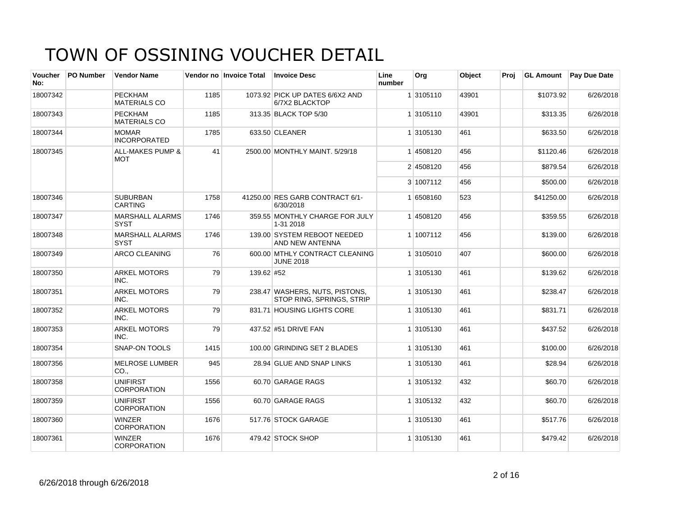| Voucher<br>No: | PO Number | <b>Vendor Name</b>                        |      | Vendor no Invoice Total | <b>Invoice Desc</b>                                         | Line<br>number | Org       | Object | Proi | <b>GL Amount</b> | <b>Pay Due Date</b> |
|----------------|-----------|-------------------------------------------|------|-------------------------|-------------------------------------------------------------|----------------|-----------|--------|------|------------------|---------------------|
| 18007342       |           | <b>PECKHAM</b><br><b>MATERIALS CO</b>     | 1185 |                         | 1073.92 PICK UP DATES 6/6X2 AND<br>6/7X2 BLACKTOP           |                | 1 3105110 | 43901  |      | \$1073.92        | 6/26/2018           |
| 18007343       |           | <b>PECKHAM</b><br><b>MATERIALS CO</b>     | 1185 |                         | 313.35 BLACK TOP 5/30                                       |                | 1 3105110 | 43901  |      | \$313.35         | 6/26/2018           |
| 18007344       |           | <b>MOMAR</b><br><b>INCORPORATED</b>       | 1785 |                         | 633.50 CLEANER                                              |                | 1 3105130 | 461    |      | \$633.50         | 6/26/2018           |
| 18007345       |           | <b>ALL-MAKES PUMP &amp;</b><br><b>MOT</b> | 41   |                         | 2500.00 MONTHLY MAINT, 5/29/18                              |                | 14508120  | 456    |      | \$1120.46        | 6/26/2018           |
|                |           |                                           |      |                         |                                                             |                | 2 4508120 | 456    |      | \$879.54         | 6/26/2018           |
|                |           |                                           |      |                         |                                                             |                | 3 1007112 | 456    |      | \$500.00         | 6/26/2018           |
| 18007346       |           | <b>SUBURBAN</b><br><b>CARTING</b>         | 1758 |                         | 41250.00 RES GARB CONTRACT 6/1-<br>6/30/2018                |                | 1 6508160 | 523    |      | \$41250.00       | 6/26/2018           |
| 18007347       |           | <b>MARSHALL ALARMS</b><br><b>SYST</b>     | 1746 |                         | 359.55 MONTHLY CHARGE FOR JULY<br>1-31 2018                 |                | 14508120  | 456    |      | \$359.55         | 6/26/2018           |
| 18007348       |           | <b>MARSHALL ALARMS</b><br><b>SYST</b>     | 1746 |                         | 139.00 SYSTEM REBOOT NEEDED<br>AND NEW ANTENNA              |                | 1 1007112 | 456    |      | \$139.00         | 6/26/2018           |
| 18007349       |           | ARCO CLEANING                             | 76   |                         | 600.00 MTHLY CONTRACT CLEANING<br><b>JUNE 2018</b>          |                | 1 3105010 | 407    |      | \$600.00         | 6/26/2018           |
| 18007350       |           | <b>ARKEL MOTORS</b><br>INC.               | 79   | 139.62 #52              |                                                             |                | 1 3105130 | 461    |      | \$139.62         | 6/26/2018           |
| 18007351       |           | <b>ARKEL MOTORS</b><br>INC.               | 79   |                         | 238.47 WASHERS, NUTS, PISTONS,<br>STOP RING, SPRINGS, STRIP |                | 1 3105130 | 461    |      | \$238.47         | 6/26/2018           |
| 18007352       |           | <b>ARKEL MOTORS</b><br>INC.               | 79   |                         | 831.71 HOUSING LIGHTS CORE                                  |                | 1 3105130 | 461    |      | \$831.71         | 6/26/2018           |
| 18007353       |           | <b>ARKEL MOTORS</b><br>INC.               | 79   |                         | 437.52 #51 DRIVE FAN                                        |                | 1 3105130 | 461    |      | \$437.52         | 6/26/2018           |
| 18007354       |           | <b>SNAP-ON TOOLS</b>                      | 1415 |                         | 100.00 GRINDING SET 2 BLADES                                |                | 1 3105130 | 461    |      | \$100.00         | 6/26/2018           |
| 18007356       |           | <b>MELROSE LUMBER</b><br>CO <sub>1</sub>  | 945  |                         | 28.94 GLUE AND SNAP LINKS                                   |                | 1 3105130 | 461    |      | \$28.94          | 6/26/2018           |
| 18007358       |           | <b>UNIFIRST</b><br><b>CORPORATION</b>     | 1556 |                         | 60.70 GARAGE RAGS                                           |                | 1 3105132 | 432    |      | \$60.70          | 6/26/2018           |
| 18007359       |           | <b>UNIFIRST</b><br><b>CORPORATION</b>     | 1556 |                         | 60.70 GARAGE RAGS                                           |                | 1 3105132 | 432    |      | \$60.70          | 6/26/2018           |
| 18007360       |           | <b>WINZER</b><br><b>CORPORATION</b>       | 1676 |                         | 517.76 STOCK GARAGE                                         |                | 1 3105130 | 461    |      | \$517.76         | 6/26/2018           |
| 18007361       |           | <b>WINZER</b><br>CORPORATION              | 1676 |                         | 479.42 STOCK SHOP                                           |                | 1 3105130 | 461    |      | \$479.42         | 6/26/2018           |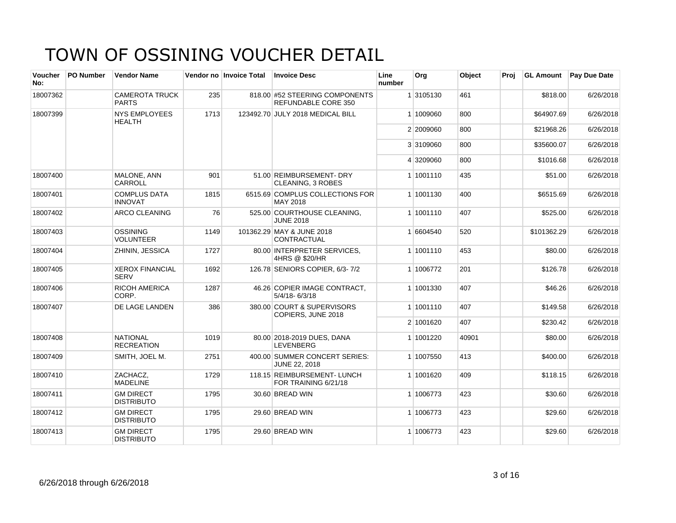| Voucher<br>No: | <b>PO Number</b> | <b>Vendor Name</b>                    |      | Vendor no Invoice Total | <b>Invoice Desc</b>                                   | Line<br>number | Org       | Object | Proi |             | <b>GL Amount</b> Pay Due Date |
|----------------|------------------|---------------------------------------|------|-------------------------|-------------------------------------------------------|----------------|-----------|--------|------|-------------|-------------------------------|
| 18007362       |                  | <b>CAMEROTA TRUCK</b><br><b>PARTS</b> | 235  |                         | 818.00 #52 STEERING COMPONENTS<br>REFUNDABLE CORE 350 |                | 1 3105130 | 461    |      | \$818.00    | 6/26/2018                     |
| 18007399       |                  | <b>NYS EMPLOYEES</b><br><b>HEALTH</b> | 1713 |                         | 123492.70 JULY 2018 MEDICAL BILL                      |                | 1 1009060 | 800    |      | \$64907.69  | 6/26/2018                     |
|                |                  |                                       |      |                         |                                                       |                | 2 2009060 | 800    |      | \$21968.26  | 6/26/2018                     |
|                |                  |                                       |      |                         |                                                       |                | 3 3109060 | 800    |      | \$35600.07  | 6/26/2018                     |
|                |                  |                                       |      |                         |                                                       |                | 4 3209060 | 800    |      | \$1016.68   | 6/26/2018                     |
| 18007400       |                  | MALONE, ANN<br>CARROLL                | 901  |                         | 51.00 REIMBURSEMENT- DRY<br><b>CLEANING, 3 ROBES</b>  |                | 1 1001110 | 435    |      | \$51.00     | 6/26/2018                     |
| 18007401       |                  | <b>COMPLUS DATA</b><br><b>INNOVAT</b> | 1815 |                         | 6515.69 COMPLUS COLLECTIONS FOR<br>MAY 2018           |                | 1 1001130 | 400    |      | \$6515.69   | 6/26/2018                     |
| 18007402       |                  | <b>ARCO CLEANING</b>                  | 76   |                         | 525.00 COURTHOUSE CLEANING,<br><b>JUNE 2018</b>       |                | 1 1001110 | 407    |      | \$525.00    | 6/26/2018                     |
| 18007403       |                  | <b>OSSINING</b><br><b>VOLUNTEER</b>   | 1149 |                         | 101362.29 MAY & JUNE 2018<br>CONTRACTUAL              |                | 1 6604540 | 520    |      | \$101362.29 | 6/26/2018                     |
| 18007404       |                  | ZHININ, JESSICA                       | 1727 |                         | 80.00 INTERPRETER SERVICES,<br>4HRS @ \$20/HR         |                | 1 1001110 | 453    |      | \$80.00     | 6/26/2018                     |
| 18007405       |                  | <b>XEROX FINANCIAL</b><br><b>SERV</b> | 1692 |                         | 126.78 SENIORS COPIER, 6/3-7/2                        |                | 1 1006772 | 201    |      | \$126.78    | 6/26/2018                     |
| 18007406       |                  | <b>RICOH AMERICA</b><br>CORP.         | 1287 |                         | 46.26 COPIER IMAGE CONTRACT,<br>$5/4/18 - 6/3/18$     |                | 1 1001330 | 407    |      | \$46.26     | 6/26/2018                     |
| 18007407       |                  | <b>DE LAGE LANDEN</b>                 | 386  |                         | 380.00 COURT & SUPERVISORS<br>COPIERS, JUNE 2018      |                | 1 1001110 | 407    |      | \$149.58    | 6/26/2018                     |
|                |                  |                                       |      |                         |                                                       |                | 2 1001620 | 407    |      | \$230.42    | 6/26/2018                     |
| 18007408       |                  | <b>NATIONAL</b><br><b>RECREATION</b>  | 1019 |                         | 80.00 2018-2019 DUES, DANA<br><b>LEVENBERG</b>        |                | 1 1001220 | 40901  |      | \$80.00     | 6/26/2018                     |
| 18007409       |                  | SMITH, JOEL M.                        | 2751 |                         | 400.00 SUMMER CONCERT SERIES:<br><b>JUNE 22, 2018</b> |                | 1 1007550 | 413    |      | \$400.00    | 6/26/2018                     |
| 18007410       |                  | ZACHACZ,<br><b>MADELINE</b>           | 1729 |                         | 118.15 REIMBURSEMENT- LUNCH<br>FOR TRAINING 6/21/18   |                | 1 1001620 | 409    |      | \$118.15    | 6/26/2018                     |
| 18007411       |                  | <b>GM DIRECT</b><br><b>DISTRIBUTO</b> | 1795 |                         | 30.60 BREAD WIN                                       |                | 1 1006773 | 423    |      | \$30.60     | 6/26/2018                     |
| 18007412       |                  | <b>GM DIRECT</b><br><b>DISTRIBUTO</b> | 1795 |                         | 29.60 BREAD WIN                                       |                | 1 1006773 | 423    |      | \$29.60     | 6/26/2018                     |
| 18007413       |                  | <b>GM DIRECT</b><br><b>DISTRIBUTO</b> | 1795 |                         | 29.60 BREAD WIN                                       |                | 1 1006773 | 423    |      | \$29.60     | 6/26/2018                     |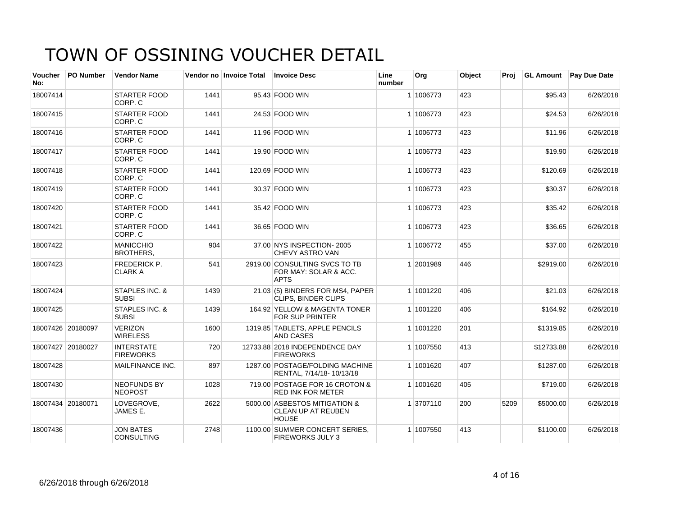| <b>Voucher</b><br>No: | <b>PO Number</b>  | <b>Vendor Name</b>                        |      | Vendor no Invoice Total | <b>Invoice Desc</b>                                                        | Line<br>number | Org       | Object | Proj | <b>GL Amount</b> | <b>Pay Due Date</b> |
|-----------------------|-------------------|-------------------------------------------|------|-------------------------|----------------------------------------------------------------------------|----------------|-----------|--------|------|------------------|---------------------|
| 18007414              |                   | <b>STARTER FOOD</b><br>CORP. C            | 1441 |                         | 95.43 FOOD WIN                                                             |                | 1 1006773 | 423    |      | \$95.43          | 6/26/2018           |
| 18007415              |                   | <b>STARTER FOOD</b><br>CORP. C            | 1441 |                         | 24.53 FOOD WIN                                                             |                | 1 1006773 | 423    |      | \$24.53          | 6/26/2018           |
| 18007416              |                   | <b>STARTER FOOD</b><br>CORP. C            | 1441 |                         | 11.96 FOOD WIN                                                             |                | 1 1006773 | 423    |      | \$11.96          | 6/26/2018           |
| 18007417              |                   | <b>STARTER FOOD</b><br>CORP. C            | 1441 |                         | 19.90 FOOD WIN                                                             |                | 1 1006773 | 423    |      | \$19.90          | 6/26/2018           |
| 18007418              |                   | <b>STARTER FOOD</b><br>CORP. C            | 1441 |                         | 120.69 FOOD WIN                                                            |                | 1 1006773 | 423    |      | \$120.69         | 6/26/2018           |
| 18007419              |                   | <b>STARTER FOOD</b><br>CORP. C            | 1441 |                         | 30.37 FOOD WIN                                                             |                | 1 1006773 | 423    |      | \$30.37          | 6/26/2018           |
| 18007420              |                   | <b>STARTER FOOD</b><br>CORP. C            | 1441 |                         | 35.42 FOOD WIN                                                             |                | 1 1006773 | 423    |      | \$35.42          | 6/26/2018           |
| 18007421              |                   | <b>STARTER FOOD</b><br>CORP. C            | 1441 |                         | 36.65 FOOD WIN                                                             |                | 1 1006773 | 423    |      | \$36.65          | 6/26/2018           |
| 18007422              |                   | <b>MANICCHIO</b><br><b>BROTHERS,</b>      | 904  |                         | 37.00 NYS INSPECTION- 2005<br><b>CHEVY ASTRO VAN</b>                       |                | 1 1006772 | 455    |      | \$37.00          | 6/26/2018           |
| 18007423              |                   | <b>FREDERICK P.</b><br><b>CLARK A</b>     | 541  |                         | 2919.00 CONSULTING SVCS TO TB<br>FOR MAY: SOLAR & ACC.<br><b>APTS</b>      |                | 1 2001989 | 446    |      | \$2919.00        | 6/26/2018           |
| 18007424              |                   | STAPLES INC. &<br><b>SUBSI</b>            | 1439 |                         | 21.03 (5) BINDERS FOR MS4, PAPER<br><b>CLIPS, BINDER CLIPS</b>             |                | 1 1001220 | 406    |      | \$21.03          | 6/26/2018           |
| 18007425              |                   | <b>STAPLES INC. &amp;</b><br><b>SUBSI</b> | 1439 |                         | 164.92 YELLOW & MAGENTA TONER<br><b>FOR SUP PRINTER</b>                    |                | 1 1001220 | 406    |      | \$164.92         | 6/26/2018           |
|                       | 18007426 20180097 | <b>VERIZON</b><br><b>WIRELESS</b>         | 1600 |                         | 1319.85 TABLETS, APPLE PENCILS<br><b>AND CASES</b>                         |                | 1 1001220 | 201    |      | \$1319.85        | 6/26/2018           |
|                       | 18007427 20180027 | <b>INTERSTATE</b><br><b>FIREWORKS</b>     | 720  |                         | 12733.88 2018 INDEPENDENCE DAY<br><b>FIREWORKS</b>                         |                | 1 1007550 | 413    |      | \$12733.88       | 6/26/2018           |
| 18007428              |                   | MAILFINANCE INC.                          | 897  |                         | 1287.00 POSTAGE/FOLDING MACHINE<br>RENTAL, 7/14/18-10/13/18                |                | 1 1001620 | 407    |      | \$1287.00        | 6/26/2018           |
| 18007430              |                   | <b>NEOFUNDS BY</b><br><b>NEOPOST</b>      | 1028 |                         | 719.00 POSTAGE FOR 16 CROTON &<br><b>RED INK FOR METER</b>                 |                | 1 1001620 | 405    |      | \$719.00         | 6/26/2018           |
| 18007434 20180071     |                   | LOVEGROVE,<br>JAMES E.                    | 2622 |                         | 5000.00 ASBESTOS MITIGATION &<br><b>CLEAN UP AT REUBEN</b><br><b>HOUSE</b> |                | 1 3707110 | 200    | 5209 | \$5000.00        | 6/26/2018           |
| 18007436              |                   | <b>JON BATES</b><br><b>CONSULTING</b>     | 2748 |                         | 1100.00 SUMMER CONCERT SERIES.<br>FIREWORKS JULY 3                         |                | 1 1007550 | 413    |      | \$1100.00        | 6/26/2018           |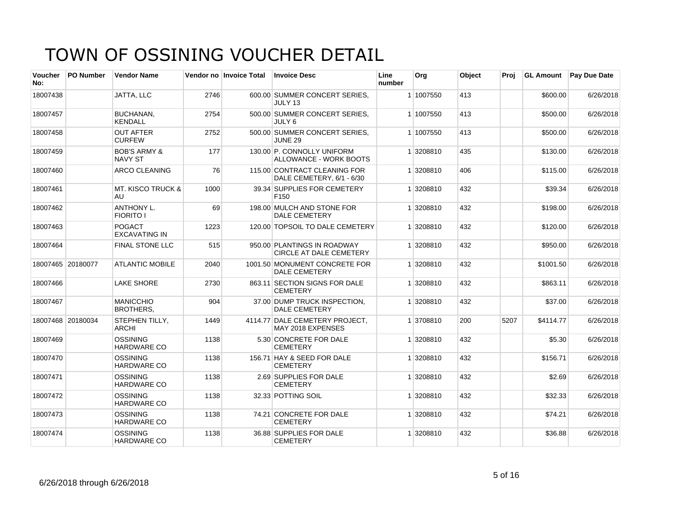| Voucher<br>No: | <b>PO Number</b>  | <b>Vendor Name</b>                    |      | Vendor no Invoice Total | <b>Invoice Desc</b>                                           | Line<br>number | Org       | Object | Proi | <b>GL Amount</b> | <b>Pay Due Date</b> |
|----------------|-------------------|---------------------------------------|------|-------------------------|---------------------------------------------------------------|----------------|-----------|--------|------|------------------|---------------------|
| 18007438       |                   | JATTA, LLC                            | 2746 |                         | 600.00 SUMMER CONCERT SERIES.<br>JULY 13                      |                | 1 1007550 | 413    |      | \$600.00         | 6/26/2018           |
| 18007457       |                   | <b>BUCHANAN.</b><br><b>KENDALL</b>    | 2754 |                         | 500.00 SUMMER CONCERT SERIES.<br>JULY 6                       |                | 1 1007550 | 413    |      | \$500.00         | 6/26/2018           |
| 18007458       |                   | <b>OUT AFTER</b><br><b>CURFEW</b>     | 2752 |                         | 500.00 SUMMER CONCERT SERIES,<br><b>JUNE 29</b>               |                | 1 1007550 | 413    |      | \$500.00         | 6/26/2018           |
| 18007459       |                   | <b>BOB'S ARMY &amp;</b><br>NAVY ST    | 177  |                         | 130.00 P. CONNOLLY UNIFORM<br>ALLOWANCE - WORK BOOTS          |                | 1 3208810 | 435    |      | \$130.00         | 6/26/2018           |
| 18007460       |                   | ARCO CLEANING                         | 76   |                         | 115.00 CONTRACT CLEANING FOR<br>DALE CEMETERY, 6/1 - 6/30     |                | 1 3208810 | 406    |      | \$115.00         | 6/26/2018           |
| 18007461       |                   | <b>MT. KISCO TRUCK &amp;</b><br>AU    | 1000 |                         | 39.34 SUPPLIES FOR CEMETERY<br>F <sub>150</sub>               |                | 1 3208810 | 432    |      | \$39.34          | 6/26/2018           |
| 18007462       |                   | <b>ANTHONY L.</b><br><b>FIORITO I</b> | 69   |                         | 198.00 MULCH AND STONE FOR<br><b>DALE CEMETERY</b>            |                | 1 3208810 | 432    |      | \$198.00         | 6/26/2018           |
| 18007463       |                   | <b>POGACT</b><br><b>EXCAVATING IN</b> | 1223 |                         | 120.00 TOPSOIL TO DALE CEMETERY                               |                | 1 3208810 | 432    |      | \$120.00         | 6/26/2018           |
| 18007464       |                   | <b>FINAL STONE LLC</b>                | 515  |                         | 950.00 PLANTINGS IN ROADWAY<br><b>CIRCLE AT DALE CEMETERY</b> |                | 1 3208810 | 432    |      | \$950.00         | 6/26/2018           |
|                | 18007465 20180077 | <b>ATLANTIC MOBILE</b>                | 2040 |                         | 1001.50 MONUMENT CONCRETE FOR<br>DALE CEMETERY                |                | 1 3208810 | 432    |      | \$1001.50        | 6/26/2018           |
| 18007466       |                   | LAKE SHORE                            | 2730 |                         | 863.11 SECTION SIGNS FOR DALE<br><b>CEMETERY</b>              |                | 1 3208810 | 432    |      | \$863.11         | 6/26/2018           |
| 18007467       |                   | <b>MANICCHIO</b><br><b>BROTHERS,</b>  | 904  |                         | 37.00 DUMP TRUCK INSPECTION,<br><b>DALE CEMETERY</b>          |                | 13208810  | 432    |      | \$37.00          | 6/26/2018           |
|                | 18007468 20180034 | STEPHEN TILLY,<br><b>ARCHI</b>        | 1449 |                         | 4114.77 DALE CEMETERY PROJECT,<br>MAY 2018 EXPENSES           |                | 1 3708810 | 200    | 5207 | \$4114.77        | 6/26/2018           |
| 18007469       |                   | <b>OSSINING</b><br><b>HARDWARE CO</b> | 1138 |                         | 5.30 CONCRETE FOR DALE<br><b>CEMETERY</b>                     |                | 1 3208810 | 432    |      | \$5.30           | 6/26/2018           |
| 18007470       |                   | <b>OSSINING</b><br><b>HARDWARE CO</b> | 1138 |                         | 156.71 HAY & SEED FOR DALE<br><b>CEMETERY</b>                 |                | 1 3208810 | 432    |      | \$156.71         | 6/26/2018           |
| 18007471       |                   | <b>OSSINING</b><br>HARDWARE CO        | 1138 |                         | 2.69 SUPPLIES FOR DALE<br><b>CEMETERY</b>                     |                | 1 3208810 | 432    |      | \$2.69           | 6/26/2018           |
| 18007472       |                   | <b>OSSINING</b><br>HARDWARE CO        | 1138 |                         | 32.33 POTTING SOIL                                            |                | 1 3208810 | 432    |      | \$32.33          | 6/26/2018           |
| 18007473       |                   | <b>OSSINING</b><br><b>HARDWARE CO</b> | 1138 |                         | 74.21 CONCRETE FOR DALE<br><b>CEMETERY</b>                    |                | 1 3208810 | 432    |      | \$74.21          | 6/26/2018           |
| 18007474       |                   | <b>OSSINING</b><br><b>HARDWARE CO</b> | 1138 |                         | 36.88 SUPPLIES FOR DALE<br><b>CEMETERY</b>                    |                | 1 3208810 | 432    |      | \$36.88          | 6/26/2018           |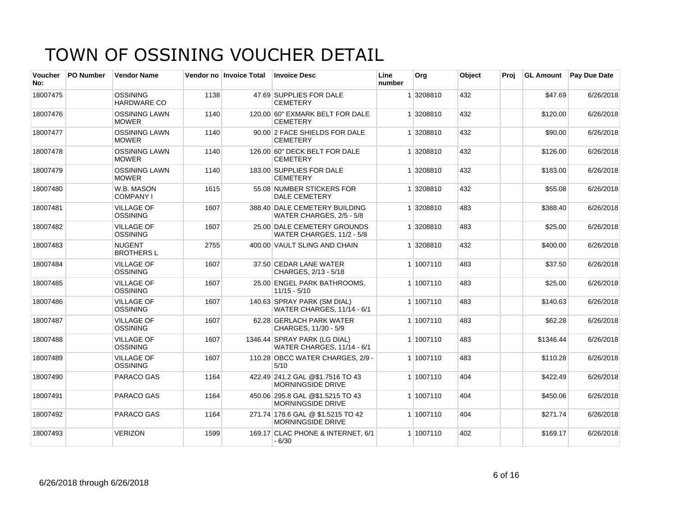| Voucher<br>No: | <b>PO Number</b> | <b>Vendor Name</b>                    |      | Vendor no Invoice Total | <b>Invoice Desc</b>                                               | Line<br>number | Org       | Object | Proi |           | <b>GL Amount</b> Pay Due Date |
|----------------|------------------|---------------------------------------|------|-------------------------|-------------------------------------------------------------------|----------------|-----------|--------|------|-----------|-------------------------------|
| 18007475       |                  | <b>OSSINING</b><br><b>HARDWARE CO</b> | 1138 |                         | 47.69 SUPPLIES FOR DALE<br><b>CEMETERY</b>                        |                | 1 3208810 | 432    |      | \$47.69   | 6/26/2018                     |
| 18007476       |                  | <b>OSSINING LAWN</b><br><b>MOWER</b>  | 1140 |                         | 120.00 60" EXMARK BELT FOR DALE<br><b>CEMETERY</b>                |                | 1 3208810 | 432    |      | \$120.00  | 6/26/2018                     |
| 18007477       |                  | <b>OSSINING LAWN</b><br><b>MOWER</b>  | 1140 |                         | 90.00 2 FACE SHIELDS FOR DALE<br><b>CEMETERY</b>                  |                | 1 3208810 | 432    |      | \$90.00   | 6/26/2018                     |
| 18007478       |                  | <b>OSSINING LAWN</b><br><b>MOWER</b>  | 1140 |                         | 126.00 60" DECK BELT FOR DALE<br><b>CEMETERY</b>                  |                | 1 3208810 | 432    |      | \$126.00  | 6/26/2018                     |
| 18007479       |                  | <b>OSSINING LAWN</b><br><b>MOWER</b>  | 1140 |                         | 183.00 SUPPLIES FOR DALE<br><b>CEMETERY</b>                       |                | 1 3208810 | 432    |      | \$183.00  | 6/26/2018                     |
| 18007480       |                  | W.B. MASON<br><b>COMPANY I</b>        | 1615 |                         | 55.08 NUMBER STICKERS FOR<br><b>DALE CEMETERY</b>                 |                | 1 3208810 | 432    |      | \$55.08   | 6/26/2018                     |
| 18007481       |                  | <b>VILLAGE OF</b><br><b>OSSINING</b>  | 1607 |                         | 388.40 DALE CEMETERY BUILDING<br>WATER CHARGES, 2/5 - 5/8         |                | 1 3208810 | 483    |      | \$388.40  | 6/26/2018                     |
| 18007482       |                  | <b>VILLAGE OF</b><br><b>OSSINING</b>  | 1607 |                         | 25.00 DALE CEMETERY GROUNDS<br><b>WATER CHARGES, 11/2 - 5/8</b>   |                | 1 3208810 | 483    |      | \$25.00   | 6/26/2018                     |
| 18007483       |                  | <b>NUGENT</b><br><b>BROTHERS L</b>    | 2755 |                         | 400.00 VAULT SLING AND CHAIN                                      |                | 1 3208810 | 432    |      | \$400.00  | 6/26/2018                     |
| 18007484       |                  | <b>VILLAGE OF</b><br><b>OSSINING</b>  | 1607 |                         | 37.50 CEDAR LANE WATER<br>CHARGES, 2/13 - 5/18                    |                | 1 1007110 | 483    |      | \$37.50   | 6/26/2018                     |
| 18007485       |                  | <b>VILLAGE OF</b><br><b>OSSINING</b>  | 1607 |                         | 25.00 ENGEL PARK BATHROOMS.<br>$11/15 - 5/10$                     |                | 1 1007110 | 483    |      | \$25.00   | 6/26/2018                     |
| 18007486       |                  | <b>VILLAGE OF</b><br><b>OSSINING</b>  | 1607 |                         | 140.63 SPRAY PARK (SM DIAL)<br><b>WATER CHARGES, 11/14 - 6/1</b>  |                | 1 1007110 | 483    |      | \$140.63  | 6/26/2018                     |
| 18007487       |                  | <b>VILLAGE OF</b><br><b>OSSINING</b>  | 1607 |                         | 62.28 GERLACH PARK WATER<br>CHARGES, 11/30 - 5/9                  |                | 1 1007110 | 483    |      | \$62.28   | 6/26/2018                     |
| 18007488       |                  | <b>VILLAGE OF</b><br><b>OSSINING</b>  | 1607 |                         | 1346.44 SPRAY PARK (LG DIAL)<br><b>WATER CHARGES, 11/14 - 6/1</b> |                | 1 1007110 | 483    |      | \$1346.44 | 6/26/2018                     |
| 18007489       |                  | <b>VILLAGE OF</b><br><b>OSSINING</b>  | 1607 |                         | 110.28 OBCC WATER CHARGES, 2/9 -<br>5/10                          |                | 1 1007110 | 483    |      | \$110.28  | 6/26/2018                     |
| 18007490       |                  | PARACO GAS                            | 1164 |                         | 422.49 241.2 GAL @\$1.7516 TO 43<br><b>MORNINGSIDE DRIVE</b>      |                | 1 1007110 | 404    |      | \$422.49  | 6/26/2018                     |
| 18007491       |                  | PARACO GAS                            | 1164 |                         | 450.06 295.8 GAL @\$1.5215 TO 43<br><b>MORNINGSIDE DRIVE</b>      |                | 1 1007110 | 404    |      | \$450.06  | 6/26/2018                     |
| 18007492       |                  | PARACO GAS                            | 1164 |                         | 271.74 178.6 GAL @ \$1.5215 TO 42<br><b>MORNINGSIDE DRIVE</b>     |                | 1 1007110 | 404    |      | \$271.74  | 6/26/2018                     |
| 18007493       |                  | <b>VERIZON</b>                        | 1599 |                         | 169.17 CLAC PHONE & INTERNET, 6/1<br>$-6/30$                      |                | 1 1007110 | 402    |      | \$169.17  | 6/26/2018                     |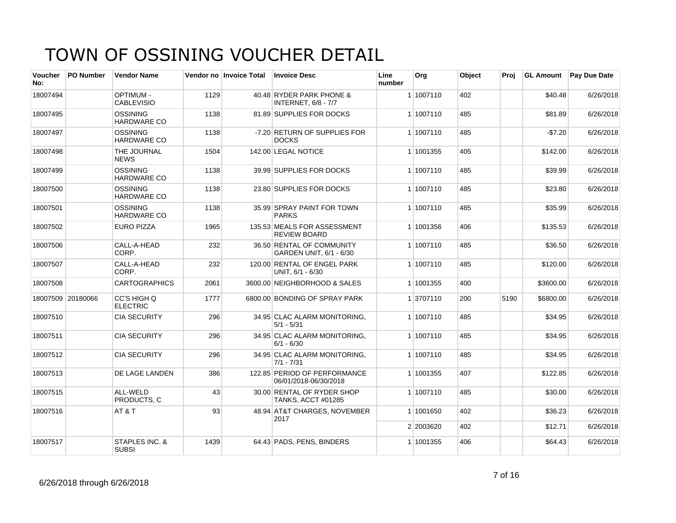| <b>Voucher</b><br>No: | <b>PO Number</b>  | <b>Vendor Name</b>                    |      | Vendor no Invoice Total | <b>Invoice Desc</b>                                     | Line<br>number | Org       | Object | Proj | <b>GL Amount</b> | <b>Pay Due Date</b> |
|-----------------------|-------------------|---------------------------------------|------|-------------------------|---------------------------------------------------------|----------------|-----------|--------|------|------------------|---------------------|
| 18007494              |                   | <b>OPTIMUM -</b><br><b>CABLEVISIO</b> | 1129 |                         | 40.48 RYDER PARK PHONE &<br><b>INTERNET, 6/8 - 7/7</b>  |                | 1 1007110 | 402    |      | \$40.48          | 6/26/2018           |
| 18007495              |                   | <b>OSSINING</b><br><b>HARDWARE CO</b> | 1138 |                         | 81.89 SUPPLIES FOR DOCKS                                |                | 1 1007110 | 485    |      | \$81.89          | 6/26/2018           |
| 18007497              |                   | <b>OSSINING</b><br><b>HARDWARE CO</b> | 1138 |                         | -7.20 RETURN OF SUPPLIES FOR<br><b>DOCKS</b>            |                | 1 1007110 | 485    |      | $-$7.20$         | 6/26/2018           |
| 18007498              |                   | THE JOURNAL<br><b>NEWS</b>            | 1504 |                         | 142.00 LEGAL NOTICE                                     |                | 1 1001355 | 405    |      | \$142.00         | 6/26/2018           |
| 18007499              |                   | <b>OSSINING</b><br><b>HARDWARE CO</b> | 1138 |                         | 39.99 SUPPLIES FOR DOCKS                                |                | 1 1007110 | 485    |      | \$39.99          | 6/26/2018           |
| 18007500              |                   | <b>OSSINING</b><br><b>HARDWARE CO</b> | 1138 |                         | 23.80 SUPPLIES FOR DOCKS                                |                | 1 1007110 | 485    |      | \$23.80          | 6/26/2018           |
| 18007501              |                   | <b>OSSINING</b><br><b>HARDWARE CO</b> | 1138 |                         | 35.99 SPRAY PAINT FOR TOWN<br><b>PARKS</b>              |                | 1 1007110 | 485    |      | \$35.99          | 6/26/2018           |
| 18007502              |                   | <b>EURO PIZZA</b>                     | 1965 |                         | 135.53 MEALS FOR ASSESSMENT<br><b>REVIEW BOARD</b>      |                | 1 1001356 | 406    |      | \$135.53         | 6/26/2018           |
| 18007506              |                   | CALL-A-HEAD<br>CORP.                  | 232  |                         | 36.50 RENTAL OF COMMUNITY<br>GARDEN UNIT, 6/1 - 6/30    |                | 1 1007110 | 485    |      | \$36.50          | 6/26/2018           |
| 18007507              |                   | CALL-A-HEAD<br>CORP.                  | 232  |                         | 120.00 RENTAL OF ENGEL PARK<br>UNIT, 6/1 - 6/30         |                | 1 1007110 | 485    |      | \$120.00         | 6/26/2018           |
| 18007508              |                   | <b>CARTOGRAPHICS</b>                  | 2061 |                         | 3600.00 NEIGHBORHOOD & SALES                            |                | 1 1001355 | 400    |      | \$3600.00        | 6/26/2018           |
|                       | 18007509 20180066 | CC'S HIGH Q<br><b>ELECTRIC</b>        | 1777 |                         | 6800.00 BONDING OF SPRAY PARK                           |                | 1 3707110 | 200    | 5190 | \$6800.00        | 6/26/2018           |
| 18007510              |                   | <b>CIA SECURITY</b>                   | 296  |                         | 34.95 CLAC ALARM MONITORING.<br>$5/1 - 5/31$            |                | 1 1007110 | 485    |      | \$34.95          | 6/26/2018           |
| 18007511              |                   | <b>CIA SECURITY</b>                   | 296  |                         | 34.95 CLAC ALARM MONITORING,<br>$6/1 - 6/30$            |                | 1 1007110 | 485    |      | \$34.95          | 6/26/2018           |
| 18007512              |                   | <b>CIA SECURITY</b>                   | 296  |                         | 34.95 CLAC ALARM MONITORING,<br>$7/1 - 7/31$            |                | 1 1007110 | 485    |      | \$34.95          | 6/26/2018           |
| 18007513              |                   | DE LAGE LANDEN                        | 386  |                         | 122.85 PERIOD OF PERFORMANCE<br>06/01/2018-06/30/2018   |                | 1 1001355 | 407    |      | \$122.85         | 6/26/2018           |
| 18007515              |                   | ALL-WELD<br>PRODUCTS, C               | 43   |                         | 30.00 RENTAL OF RYDER SHOP<br><b>TANKS, ACCT #01285</b> |                | 1 1007110 | 485    |      | \$30.00          | 6/26/2018           |
| 18007516              |                   | AT&T                                  | 93   |                         | 48.94 AT&T CHARGES, NOVEMBER<br>2017                    |                | 1 1001650 | 402    |      | \$36.23          | 6/26/2018           |
|                       |                   |                                       |      |                         |                                                         |                | 2 2003620 | 402    |      | \$12.71          | 6/26/2018           |
| 18007517              |                   | STAPLES INC. &<br><b>SUBSI</b>        | 1439 |                         | 64.43 PADS, PENS, BINDERS                               |                | 1 1001355 | 406    |      | \$64.43          | 6/26/2018           |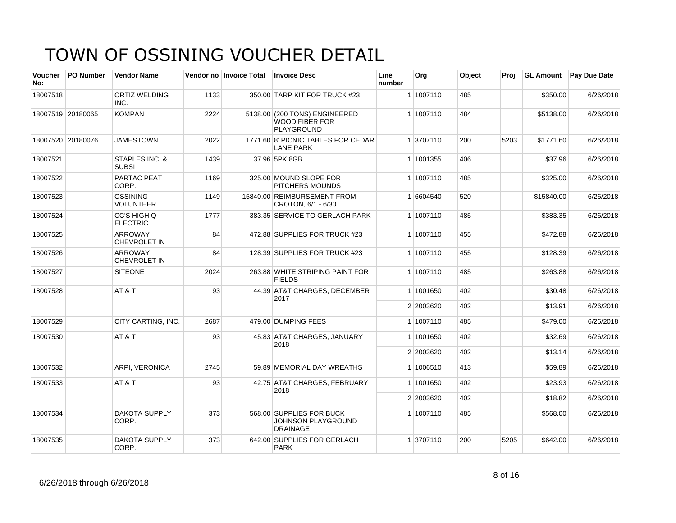| <b>Voucher</b><br>No: | PO Number         | <b>Vendor Name</b>                    |      | Vendor no Invoice Total | <b>Invoice Desc</b>                                                      | Line<br>number | Org       | Object | Proj | <b>GL Amount</b> | <b>Pay Due Date</b> |
|-----------------------|-------------------|---------------------------------------|------|-------------------------|--------------------------------------------------------------------------|----------------|-----------|--------|------|------------------|---------------------|
| 18007518              |                   | ORTIZ WELDING<br>INC.                 | 1133 |                         | 350.00 TARP KIT FOR TRUCK #23                                            |                | 1 1007110 | 485    |      | \$350.00         | 6/26/2018           |
|                       | 18007519 20180065 | <b>KOMPAN</b>                         | 2224 |                         | 5138.00 (200 TONS) ENGINEERED<br><b>WOOD FIBER FOR</b><br>PLAYGROUND     |                | 1 1007110 | 484    |      | \$5138.00        | 6/26/2018           |
|                       | 18007520 20180076 | <b>JAMESTOWN</b>                      | 2022 |                         | 1771.60 8' PICNIC TABLES FOR CEDAR<br><b>LANE PARK</b>                   |                | 1 3707110 | 200    | 5203 | \$1771.60        | 6/26/2018           |
| 18007521              |                   | STAPLES INC. &<br><b>SUBSI</b>        | 1439 |                         | 37.96 5PK 8GB                                                            |                | 1 1001355 | 406    |      | \$37.96          | 6/26/2018           |
| 18007522              |                   | PARTAC PEAT<br>CORP.                  | 1169 |                         | 325.00 MOUND SLOPE FOR<br><b>PITCHERS MOUNDS</b>                         |                | 1 1007110 | 485    |      | \$325.00         | 6/26/2018           |
| 18007523              |                   | <b>OSSINING</b><br><b>VOLUNTEER</b>   | 1149 |                         | 15840.00 REIMBURSEMENT FROM<br>CROTON, 6/1 - 6/30                        |                | 1 6604540 | 520    |      | \$15840.00       | 6/26/2018           |
| 18007524              |                   | CC'S HIGH Q<br><b>ELECTRIC</b>        | 1777 |                         | 383.35 SERVICE TO GERLACH PARK                                           |                | 1 1007110 | 485    |      | \$383.35         | 6/26/2018           |
| 18007525              |                   | <b>ARROWAY</b><br><b>CHEVROLET IN</b> | 84   |                         | 472.88 SUPPLIES FOR TRUCK #23                                            |                | 1 1007110 | 455    |      | \$472.88         | 6/26/2018           |
| 18007526              |                   | <b>ARROWAY</b><br><b>CHEVROLET IN</b> | 84   |                         | 128.39 SUPPLIES FOR TRUCK #23                                            |                | 1 1007110 | 455    |      | \$128.39         | 6/26/2018           |
| 18007527              |                   | <b>SITEONE</b>                        | 2024 |                         | 263.88 WHITE STRIPING PAINT FOR<br><b>FIELDS</b>                         |                | 1 1007110 | 485    |      | \$263.88         | 6/26/2018           |
| 18007528              |                   | AT&T                                  | 93   |                         | 44.39 AT&T CHARGES, DECEMBER<br>2017                                     |                | 1 1001650 | 402    |      | \$30.48          | 6/26/2018           |
|                       |                   |                                       |      |                         |                                                                          |                | 2 2003620 | 402    |      | \$13.91          | 6/26/2018           |
| 18007529              |                   | CITY CARTING, INC.                    | 2687 |                         | 479.00 DUMPING FEES                                                      |                | 1 1007110 | 485    |      | \$479.00         | 6/26/2018           |
| 18007530              |                   | AT&T                                  | 93   |                         | 45.83 AT&T CHARGES, JANUARY<br>2018                                      |                | 1 1001650 | 402    |      | \$32.69          | 6/26/2018           |
|                       |                   |                                       |      |                         |                                                                          |                | 2 2003620 | 402    |      | \$13.14          | 6/26/2018           |
| 18007532              |                   | ARPI, VERONICA                        | 2745 |                         | 59.89 MEMORIAL DAY WREATHS                                               |                | 1 1006510 | 413    |      | \$59.89          | 6/26/2018           |
| 18007533              |                   | AT&T                                  | 93   |                         | 42.75 AT&T CHARGES, FEBRUARY<br>2018                                     |                | 1 1001650 | 402    |      | \$23.93          | 6/26/2018           |
|                       |                   |                                       |      |                         |                                                                          |                | 2 2003620 | 402    |      | \$18.82          | 6/26/2018           |
| 18007534              |                   | <b>DAKOTA SUPPLY</b><br>CORP.         | 373  |                         | 568.00 SUPPLIES FOR BUCK<br><b>JOHNSON PLAYGROUND</b><br><b>DRAINAGE</b> |                | 1 1007110 | 485    |      | \$568.00         | 6/26/2018           |
| 18007535              |                   | <b>DAKOTA SUPPLY</b><br>CORP.         | 373  |                         | 642.00 SUPPLIES FOR GERLACH<br><b>PARK</b>                               |                | 1 3707110 | 200    | 5205 | \$642.00         | 6/26/2018           |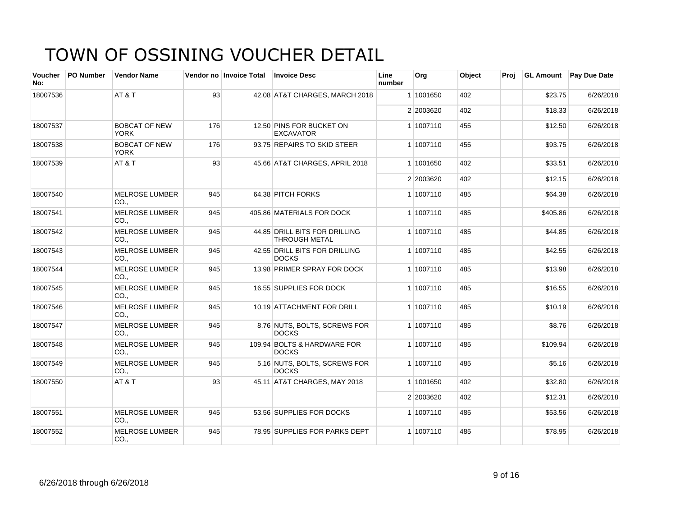| <b>Voucher</b><br>No: | <b>PO Number</b> | <b>Vendor Name</b>                  |     | Vendor no Invoice Total | <b>Invoice Desc</b>                                   | Line<br>number | Org       | Object | Proi | <b>GL Amount</b> | <b>Pay Due Date</b> |
|-----------------------|------------------|-------------------------------------|-----|-------------------------|-------------------------------------------------------|----------------|-----------|--------|------|------------------|---------------------|
| 18007536              |                  | AT&T                                | 93  |                         | 42.08 AT&T CHARGES, MARCH 2018                        |                | 1 1001650 | 402    |      | \$23.75          | 6/26/2018           |
|                       |                  |                                     |     |                         |                                                       |                | 2 2003620 | 402    |      | \$18.33          | 6/26/2018           |
| 18007537              |                  | <b>BOBCAT OF NEW</b><br>YORK        | 176 |                         | 12.50 PINS FOR BUCKET ON<br><b>EXCAVATOR</b>          |                | 1 1007110 | 455    |      | \$12.50          | 6/26/2018           |
| 18007538              |                  | <b>BOBCAT OF NEW</b><br><b>YORK</b> | 176 |                         | 93.75 REPAIRS TO SKID STEER                           |                | 1 1007110 | 455    |      | \$93.75          | 6/26/2018           |
| 18007539              |                  | AT&T                                | 93  |                         | 45.66 AT&T CHARGES, APRIL 2018                        |                | 1 1001650 | 402    |      | \$33.51          | 6/26/2018           |
|                       |                  |                                     |     |                         |                                                       |                | 2 2003620 | 402    |      | \$12.15          | 6/26/2018           |
| 18007540              |                  | <b>MELROSE LUMBER</b><br>CO.,       | 945 |                         | 64.38 PITCH FORKS                                     |                | 1 1007110 | 485    |      | \$64.38          | 6/26/2018           |
| 18007541              |                  | <b>MELROSE LUMBER</b><br>CO.,       | 945 |                         | 405.86 MATERIALS FOR DOCK                             |                | 1 1007110 | 485    |      | \$405.86         | 6/26/2018           |
| 18007542              |                  | <b>MELROSE LUMBER</b><br>CO.,       | 945 |                         | 44.85 DRILL BITS FOR DRILLING<br><b>THROUGH METAL</b> |                | 1 1007110 | 485    |      | \$44.85          | 6/26/2018           |
| 18007543              |                  | <b>MELROSE LUMBER</b><br>CO.,       | 945 |                         | 42.55 DRILL BITS FOR DRILLING<br><b>DOCKS</b>         |                | 1 1007110 | 485    |      | \$42.55          | 6/26/2018           |
| 18007544              |                  | <b>MELROSE LUMBER</b><br>CO.,       | 945 |                         | 13.98 PRIMER SPRAY FOR DOCK                           |                | 1 1007110 | 485    |      | \$13.98          | 6/26/2018           |
| 18007545              |                  | <b>MELROSE LUMBER</b><br>CO.        | 945 |                         | 16.55 SUPPLIES FOR DOCK                               |                | 1 1007110 | 485    |      | \$16.55          | 6/26/2018           |
| 18007546              |                  | <b>MELROSE LUMBER</b><br>CO.,       | 945 |                         | 10.19 ATTACHMENT FOR DRILL                            |                | 1 1007110 | 485    |      | \$10.19          | 6/26/2018           |
| 18007547              |                  | <b>MELROSE LUMBER</b><br>CO.        | 945 |                         | 8.76 NUTS, BOLTS, SCREWS FOR<br><b>DOCKS</b>          |                | 1 1007110 | 485    |      | \$8.76           | 6/26/2018           |
| 18007548              |                  | <b>MELROSE LUMBER</b><br>CO.        | 945 |                         | 109.94 BOLTS & HARDWARE FOR<br><b>DOCKS</b>           |                | 1 1007110 | 485    |      | \$109.94         | 6/26/2018           |
| 18007549              |                  | <b>MELROSE LUMBER</b><br>CO.,       | 945 |                         | 5.16 NUTS, BOLTS, SCREWS FOR<br><b>DOCKS</b>          |                | 1 1007110 | 485    |      | \$5.16           | 6/26/2018           |
| 18007550              |                  | AT&T                                | 93  |                         | 45.11 AT&T CHARGES, MAY 2018                          |                | 1 1001650 | 402    |      | \$32.80          | 6/26/2018           |
|                       |                  |                                     |     |                         |                                                       |                | 2 2003620 | 402    |      | \$12.31          | 6/26/2018           |
| 18007551              |                  | <b>MELROSE LUMBER</b><br>CO.,       | 945 |                         | 53.56 SUPPLIES FOR DOCKS                              |                | 1 1007110 | 485    |      | \$53.56          | 6/26/2018           |
| 18007552              |                  | <b>MELROSE LUMBER</b><br>CO.,       | 945 |                         | 78.95 SUPPLIES FOR PARKS DEPT                         |                | 1 1007110 | 485    |      | \$78.95          | 6/26/2018           |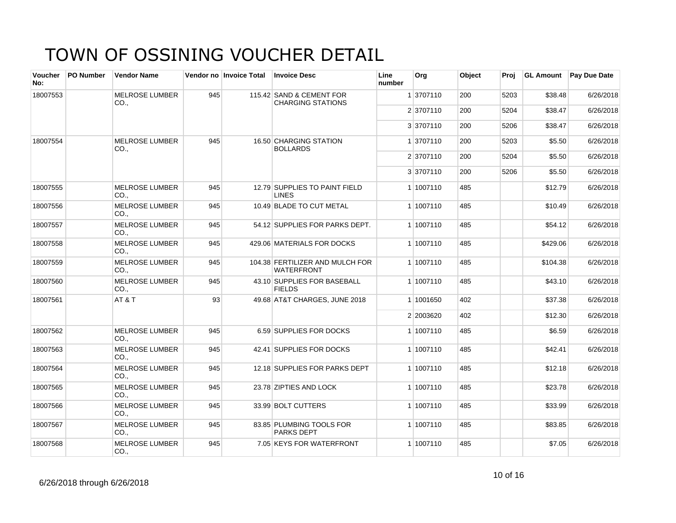| <b>Voucher</b><br>No: | PO Number | <b>Vendor Name</b>                       |     | Vendor no Invoice Total | <b>Invoice Desc</b>                                  | Line<br>number | Org       | Object | Proj | <b>GL Amount</b> | <b>Pay Due Date</b> |
|-----------------------|-----------|------------------------------------------|-----|-------------------------|------------------------------------------------------|----------------|-----------|--------|------|------------------|---------------------|
| 18007553              |           | <b>MELROSE LUMBER</b><br>CO.,            | 945 |                         | 115.42 SAND & CEMENT FOR<br><b>CHARGING STATIONS</b> |                | 1 3707110 | 200    | 5203 | \$38.48          | 6/26/2018           |
|                       |           |                                          |     |                         |                                                      |                | 2 3707110 | 200    | 5204 | \$38.47          | 6/26/2018           |
|                       |           |                                          |     |                         |                                                      |                | 3 3707110 | 200    | 5206 | \$38.47          | 6/26/2018           |
| 18007554              |           | <b>MELROSE LUMBER</b><br>CO.,            | 945 |                         | 16.50 CHARGING STATION<br><b>BOLLARDS</b>            |                | 1 3707110 | 200    | 5203 | \$5.50           | 6/26/2018           |
|                       |           |                                          |     |                         |                                                      |                | 2 3707110 | 200    | 5204 | \$5.50           | 6/26/2018           |
|                       |           |                                          |     |                         |                                                      |                | 3 3707110 | 200    | 5206 | \$5.50           | 6/26/2018           |
| 18007555              |           | <b>MELROSE LUMBER</b><br>CO.,            | 945 |                         | 12.79 SUPPLIES TO PAINT FIELD<br><b>LINES</b>        |                | 1 1007110 | 485    |      | \$12.79          | 6/26/2018           |
| 18007556              |           | <b>MELROSE LUMBER</b><br>CO <sub>1</sub> | 945 |                         | 10.49 BLADE TO CUT METAL                             |                | 1 1007110 | 485    |      | \$10.49          | 6/26/2018           |
| 18007557              |           | <b>MELROSE LUMBER</b><br>CO.             | 945 |                         | 54.12 SUPPLIES FOR PARKS DEPT.                       |                | 1 1007110 | 485    |      | \$54.12          | 6/26/2018           |
| 18007558              |           | <b>MELROSE LUMBER</b><br>CO.,            | 945 |                         | 429.06 MATERIALS FOR DOCKS                           |                | 1 1007110 | 485    |      | \$429.06         | 6/26/2018           |
| 18007559              |           | <b>MELROSE LUMBER</b><br>$CO1$ .         | 945 |                         | 104.38 FERTILIZER AND MULCH FOR<br><b>WATERFRONT</b> |                | 1 1007110 | 485    |      | \$104.38         | 6/26/2018           |
| 18007560              |           | <b>MELROSE LUMBER</b><br>CO.,            | 945 |                         | 43.10 SUPPLIES FOR BASEBALL<br><b>FIELDS</b>         |                | 1 1007110 | 485    |      | \$43.10          | 6/26/2018           |
| 18007561              |           | AT&T                                     | 93  |                         | 49.68 AT&T CHARGES, JUNE 2018                        |                | 1 1001650 | 402    |      | \$37.38          | 6/26/2018           |
|                       |           |                                          |     |                         |                                                      |                | 2 2003620 | 402    |      | \$12.30          | 6/26/2018           |
| 18007562              |           | <b>MELROSE LUMBER</b><br>CO.,            | 945 |                         | 6.59 SUPPLIES FOR DOCKS                              |                | 1 1007110 | 485    |      | \$6.59           | 6/26/2018           |
| 18007563              |           | <b>MELROSE LUMBER</b><br>CO.,            | 945 |                         | 42.41 SUPPLIES FOR DOCKS                             |                | 1 1007110 | 485    |      | \$42.41          | 6/26/2018           |
| 18007564              |           | <b>MELROSE LUMBER</b><br>CO.             | 945 |                         | 12.18 SUPPLIES FOR PARKS DEPT                        |                | 1 1007110 | 485    |      | \$12.18          | 6/26/2018           |
| 18007565              |           | <b>MELROSE LUMBER</b><br>CO.,            | 945 |                         | 23.78 ZIPTIES AND LOCK                               |                | 1 1007110 | 485    |      | \$23.78          | 6/26/2018           |
| 18007566              |           | <b>MELROSE LUMBER</b><br>CO.             | 945 |                         | 33.99 BOLT CUTTERS                                   |                | 1 1007110 | 485    |      | \$33.99          | 6/26/2018           |
| 18007567              |           | <b>MELROSE LUMBER</b><br>CO.,            | 945 |                         | 83.85 PLUMBING TOOLS FOR<br><b>PARKS DEPT</b>        |                | 1 1007110 | 485    |      | \$83.85          | 6/26/2018           |
| 18007568              |           | <b>MELROSE LUMBER</b><br>CO.,            | 945 |                         | 7.05 KEYS FOR WATERFRONT                             |                | 1 1007110 | 485    |      | \$7.05           | 6/26/2018           |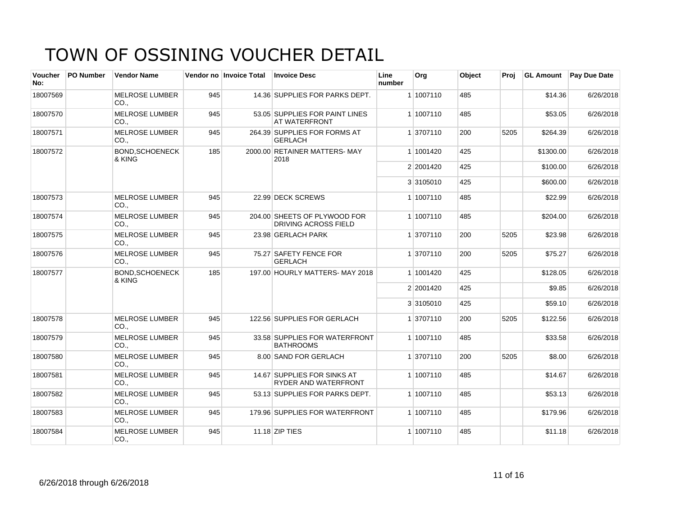| <b>Voucher</b><br>No: | <b>PO Number</b> | <b>Vendor Name</b>              |     | Vendor no Invoice Total | <b>Invoice Desc</b>                                    | Line<br>number | Org       | Object | Proi |           | <b>GL Amount</b> Pay Due Date |
|-----------------------|------------------|---------------------------------|-----|-------------------------|--------------------------------------------------------|----------------|-----------|--------|------|-----------|-------------------------------|
| 18007569              |                  | <b>MELROSE LUMBER</b><br>CO.,   | 945 |                         | 14.36 SUPPLIES FOR PARKS DEPT.                         |                | 1 1007110 | 485    |      | \$14.36   | 6/26/2018                     |
| 18007570              |                  | <b>MELROSE LUMBER</b><br>CO.,   | 945 |                         | 53.05 SUPPLIES FOR PAINT LINES<br><b>AT WATERFRONT</b> |                | 1 1007110 | 485    |      | \$53.05   | 6/26/2018                     |
| 18007571              |                  | <b>MELROSE LUMBER</b><br>CO.,   | 945 |                         | 264.39 SUPPLIES FOR FORMS AT<br><b>GERLACH</b>         |                | 1 3707110 | 200    | 5205 | \$264.39  | 6/26/2018                     |
| 18007572              |                  | <b>BOND.SCHOENECK</b><br>& KING | 185 |                         | 2000.00 RETAINER MATTERS-MAY<br>2018                   |                | 1 1001420 | 425    |      | \$1300.00 | 6/26/2018                     |
|                       |                  |                                 |     |                         |                                                        |                | 2 2001420 | 425    |      | \$100.00  | 6/26/2018                     |
|                       |                  |                                 |     |                         |                                                        |                | 3 3105010 | 425    |      | \$600.00  | 6/26/2018                     |
| 18007573              |                  | <b>MELROSE LUMBER</b><br>CO.,   | 945 |                         | 22.99 DECK SCREWS                                      |                | 1 1007110 | 485    |      | \$22.99   | 6/26/2018                     |
| 18007574              |                  | <b>MELROSE LUMBER</b><br>CO.    | 945 |                         | 204.00 SHEETS OF PLYWOOD FOR<br>DRIVING ACROSS FIELD   |                | 1 1007110 | 485    |      | \$204.00  | 6/26/2018                     |
| 18007575              |                  | <b>MELROSE LUMBER</b><br>CO.    | 945 |                         | 23.98 GERLACH PARK                                     |                | 1 3707110 | 200    | 5205 | \$23.98   | 6/26/2018                     |
| 18007576              |                  | <b>MELROSE LUMBER</b><br>CO.    | 945 |                         | 75.27 SAFETY FENCE FOR<br><b>GERLACH</b>               |                | 1 3707110 | 200    | 5205 | \$75.27   | 6/26/2018                     |
| 18007577              |                  | <b>BOND.SCHOENECK</b><br>& KING | 185 |                         | 197.00 HOURLY MATTERS- MAY 2018                        |                | 1 1001420 | 425    |      | \$128.05  | 6/26/2018                     |
|                       |                  |                                 |     |                         |                                                        |                | 2 2001420 | 425    |      | \$9.85    | 6/26/2018                     |
|                       |                  |                                 |     |                         |                                                        |                | 3 3105010 | 425    |      | \$59.10   | 6/26/2018                     |
| 18007578              |                  | <b>MELROSE LUMBER</b><br>CO.    | 945 |                         | 122.56 SUPPLIES FOR GERLACH                            |                | 1 3707110 | 200    | 5205 | \$122.56  | 6/26/2018                     |
| 18007579              |                  | <b>MELROSE LUMBER</b><br>CO.,   | 945 |                         | 33.58 SUPPLIES FOR WATERFRONT<br><b>BATHROOMS</b>      |                | 1 1007110 | 485    |      | \$33.58   | 6/26/2018                     |
| 18007580              |                  | <b>MELROSE LUMBER</b><br>CO.    | 945 |                         | 8.00 SAND FOR GERLACH                                  |                | 1 3707110 | 200    | 5205 | \$8.00    | 6/26/2018                     |
| 18007581              |                  | <b>MELROSE LUMBER</b><br>CO.,   | 945 |                         | 14.67 SUPPLIES FOR SINKS AT<br>RYDER AND WATERFRONT    |                | 1 1007110 | 485    |      | \$14.67   | 6/26/2018                     |
| 18007582              |                  | <b>MELROSE LUMBER</b><br>CO.,   | 945 |                         | 53.13 SUPPLIES FOR PARKS DEPT.                         |                | 1 1007110 | 485    |      | \$53.13   | 6/26/2018                     |
| 18007583              |                  | <b>MELROSE LUMBER</b><br>CO.,   | 945 |                         | 179.96 SUPPLIES FOR WATERFRONT                         |                | 1 1007110 | 485    |      | \$179.96  | 6/26/2018                     |
| 18007584              |                  | <b>MELROSE LUMBER</b><br>CO.,   | 945 |                         | 11.18 ZIP TIES                                         |                | 1 1007110 | 485    |      | \$11.18   | 6/26/2018                     |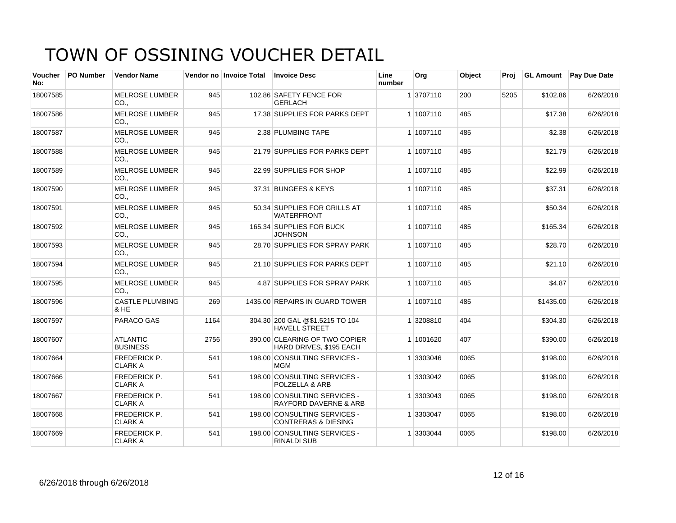| <b>Voucher</b><br>No: | <b>PO Number</b> | <b>Vendor Name</b>                    |      | Vendor no Invoice Total | <b>Invoice Desc</b>                                              | Line<br>number | Org       | Object | Proi |           | <b>GL Amount</b> Pay Due Date |
|-----------------------|------------------|---------------------------------------|------|-------------------------|------------------------------------------------------------------|----------------|-----------|--------|------|-----------|-------------------------------|
| 18007585              |                  | <b>MELROSE LUMBER</b><br>CO.,         | 945  |                         | 102.86 SAFETY FENCE FOR<br><b>GERLACH</b>                        |                | 1 3707110 | 200    | 5205 | \$102.86  | 6/26/2018                     |
| 18007586              |                  | <b>MELROSE LUMBER</b><br>CO.          | 945  |                         | 17.38 SUPPLIES FOR PARKS DEPT                                    |                | 1 1007110 | 485    |      | \$17.38   | 6/26/2018                     |
| 18007587              |                  | <b>MELROSE LUMBER</b><br>CO.,         | 945  |                         | 2.38 PLUMBING TAPE                                               |                | 1 1007110 | 485    |      | \$2.38    | 6/26/2018                     |
| 18007588              |                  | <b>MELROSE LUMBER</b><br>CO.,         | 945  |                         | 21.79 SUPPLIES FOR PARKS DEPT                                    |                | 1 1007110 | 485    |      | \$21.79   | 6/26/2018                     |
| 18007589              |                  | <b>MELROSE LUMBER</b><br>CO.          | 945  |                         | 22.99 SUPPLIES FOR SHOP                                          |                | 1 1007110 | 485    |      | \$22.99   | 6/26/2018                     |
| 18007590              |                  | <b>MELROSE LUMBER</b><br>CO           | 945  |                         | 37.31 BUNGEES & KEYS                                             |                | 1 1007110 | 485    |      | \$37.31   | 6/26/2018                     |
| 18007591              |                  | <b>MELROSE LUMBER</b><br>CO.,         | 945  |                         | 50.34 SUPPLIES FOR GRILLS AT<br><b>WATERFRONT</b>                |                | 1 1007110 | 485    |      | \$50.34   | 6/26/2018                     |
| 18007592              |                  | <b>MELROSE LUMBER</b><br>CO.,         | 945  |                         | 165.34 SUPPLIES FOR BUCK<br><b>JOHNSON</b>                       |                | 1 1007110 | 485    |      | \$165.34  | 6/26/2018                     |
| 18007593              |                  | <b>MELROSE LUMBER</b><br>CO.,         | 945  |                         | 28.70 SUPPLIES FOR SPRAY PARK                                    |                | 1 1007110 | 485    |      | \$28.70   | 6/26/2018                     |
| 18007594              |                  | <b>MELROSE LUMBER</b><br>CO.,         | 945  |                         | 21.10 SUPPLIES FOR PARKS DEPT                                    |                | 1 1007110 | 485    |      | \$21.10   | 6/26/2018                     |
| 18007595              |                  | <b>MELROSE LUMBER</b><br>CO.,         | 945  |                         | 4.87 SUPPLIES FOR SPRAY PARK                                     |                | 1 1007110 | 485    |      | \$4.87    | 6/26/2018                     |
| 18007596              |                  | <b>CASTLE PLUMBING</b><br>& HE        | 269  |                         | 1435.00 REPAIRS IN GUARD TOWER                                   |                | 1 1007110 | 485    |      | \$1435.00 | 6/26/2018                     |
| 18007597              |                  | PARACO GAS                            | 1164 |                         | 304.30 200 GAL @\$1.5215 TO 104<br><b>HAVELL STREET</b>          |                | 1 3208810 | 404    |      | \$304.30  | 6/26/2018                     |
| 18007607              |                  | <b>ATLANTIC</b><br><b>BUSINESS</b>    | 2756 |                         | 390.00 CLEARING OF TWO COPIER<br>HARD DRIVES, \$195 EACH         |                | 1 1001620 | 407    |      | \$390.00  | 6/26/2018                     |
| 18007664              |                  | <b>FREDERICK P.</b><br><b>CLARK A</b> | 541  |                         | 198.00 CONSULTING SERVICES -<br><b>MGM</b>                       |                | 1 3303046 | 0065   |      | \$198.00  | 6/26/2018                     |
| 18007666              |                  | <b>FREDERICK P.</b><br><b>CLARK A</b> | 541  |                         | 198.00 CONSULTING SERVICES -<br>POLZELLA & ARB                   |                | 1 3303042 | 0065   |      | \$198.00  | 6/26/2018                     |
| 18007667              |                  | <b>FREDERICK P.</b><br><b>CLARK A</b> | 541  |                         | 198.00 CONSULTING SERVICES -<br><b>RAYFORD DAVERNE &amp; ARB</b> |                | 1 3303043 | 0065   |      | \$198.00  | 6/26/2018                     |
| 18007668              |                  | <b>FREDERICK P.</b><br><b>CLARK A</b> | 541  |                         | 198.00 CONSULTING SERVICES -<br><b>CONTRERAS &amp; DIESING</b>   |                | 1 3303047 | 0065   |      | \$198.00  | 6/26/2018                     |
| 18007669              |                  | FREDERICK P.<br><b>CLARK A</b>        | 541  |                         | 198.00 CONSULTING SERVICES -<br><b>RINALDI SUB</b>               |                | 1 3303044 | 0065   |      | \$198.00  | 6/26/2018                     |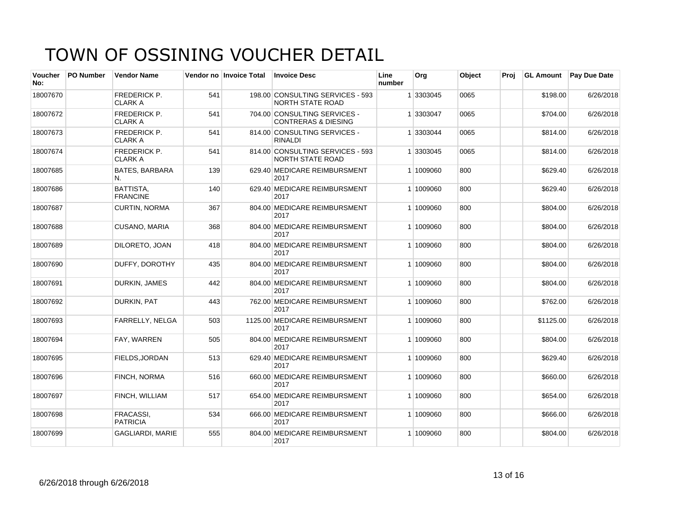| Voucher<br>No: | <b>PO Number</b> | <b>Vendor Name</b>                    |     | Vendor no Invoice Total | <b>Invoice Desc</b>                                            | Line<br>number | Org       | Object | Proi | <b>GL Amount</b> | <b>Pay Due Date</b> |
|----------------|------------------|---------------------------------------|-----|-------------------------|----------------------------------------------------------------|----------------|-----------|--------|------|------------------|---------------------|
| 18007670       |                  | <b>FREDERICK P.</b><br><b>CLARK A</b> | 541 |                         | 198.00 CONSULTING SERVICES - 593<br><b>NORTH STATE ROAD</b>    |                | 1 3303045 | 0065   |      | \$198.00         | 6/26/2018           |
| 18007672       |                  | <b>FREDERICK P.</b><br><b>CLARK A</b> | 541 |                         | 704.00 CONSULTING SERVICES -<br><b>CONTRERAS &amp; DIESING</b> |                | 1 3303047 | 0065   |      | \$704.00         | 6/26/2018           |
| 18007673       |                  | <b>FREDERICK P.</b><br><b>CLARK A</b> | 541 |                         | 814.00 CONSULTING SERVICES -<br><b>RINALDI</b>                 |                | 1 3303044 | 0065   |      | \$814.00         | 6/26/2018           |
| 18007674       |                  | FREDERICK P.<br><b>CLARK A</b>        | 541 |                         | 814.00 CONSULTING SERVICES - 593<br><b>NORTH STATE ROAD</b>    |                | 1 3303045 | 0065   |      | \$814.00         | 6/26/2018           |
| 18007685       |                  | <b>BATES, BARBARA</b><br>N.           | 139 |                         | 629.40 MEDICARE REIMBURSMENT<br>2017                           |                | 1 1009060 | 800    |      | \$629.40         | 6/26/2018           |
| 18007686       |                  | BATTISTA,<br><b>FRANCINE</b>          | 140 |                         | 629.40 MEDICARE REIMBURSMENT<br>2017                           |                | 1 1009060 | 800    |      | \$629.40         | 6/26/2018           |
| 18007687       |                  | CURTIN, NORMA                         | 367 |                         | 804.00 MEDICARE REIMBURSMENT<br>2017                           |                | 1 1009060 | 800    |      | \$804.00         | 6/26/2018           |
| 18007688       |                  | CUSANO, MARIA                         | 368 |                         | 804.00 MEDICARE REIMBURSMENT<br>2017                           |                | 1 1009060 | 800    |      | \$804.00         | 6/26/2018           |
| 18007689       |                  | DILORETO, JOAN                        | 418 |                         | 804.00 MEDICARE REIMBURSMENT<br>2017                           |                | 1 1009060 | 800    |      | \$804.00         | 6/26/2018           |
| 18007690       |                  | DUFFY, DOROTHY                        | 435 |                         | 804.00 MEDICARE REIMBURSMENT<br>2017                           |                | 1 1009060 | 800    |      | \$804.00         | 6/26/2018           |
| 18007691       |                  | <b>DURKIN, JAMES</b>                  | 442 |                         | 804.00 MEDICARE REIMBURSMENT<br>2017                           |                | 1 1009060 | 800    |      | \$804.00         | 6/26/2018           |
| 18007692       |                  | DURKIN, PAT                           | 443 |                         | 762.00 MEDICARE REIMBURSMENT<br>2017                           |                | 1 1009060 | 800    |      | \$762.00         | 6/26/2018           |
| 18007693       |                  | <b>FARRELLY, NELGA</b>                | 503 |                         | 1125.00 MEDICARE REIMBURSMENT<br>2017                          |                | 1 1009060 | 800    |      | \$1125.00        | 6/26/2018           |
| 18007694       |                  | FAY, WARREN                           | 505 |                         | 804.00 MEDICARE REIMBURSMENT<br>2017                           |                | 1 1009060 | 800    |      | \$804.00         | 6/26/2018           |
| 18007695       |                  | FIELDS, JORDAN                        | 513 |                         | 629.40 MEDICARE REIMBURSMENT<br>2017                           |                | 1 1009060 | 800    |      | \$629.40         | 6/26/2018           |
| 18007696       |                  | <b>FINCH, NORMA</b>                   | 516 |                         | 660.00 MEDICARE REIMBURSMENT<br>2017                           |                | 1 1009060 | 800    |      | \$660.00         | 6/26/2018           |
| 18007697       |                  | FINCH, WILLIAM                        | 517 |                         | 654.00 MEDICARE REIMBURSMENT<br>2017                           |                | 1 1009060 | 800    |      | \$654.00         | 6/26/2018           |
| 18007698       |                  | <b>FRACASSI.</b><br><b>PATRICIA</b>   | 534 |                         | 666.00 MEDICARE REIMBURSMENT<br>2017                           |                | 1 1009060 | 800    |      | \$666.00         | 6/26/2018           |
| 18007699       |                  | <b>GAGLIARDI, MARIE</b>               | 555 |                         | 804.00 MEDICARE REIMBURSMENT<br>2017                           |                | 1 1009060 | 800    |      | \$804.00         | 6/26/2018           |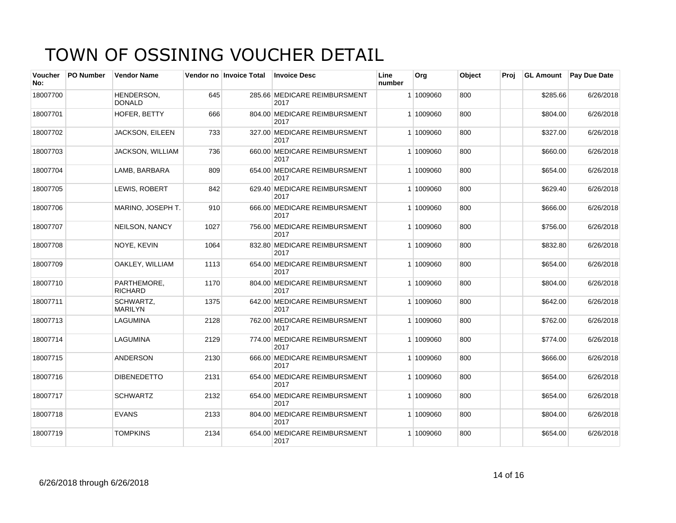| Voucher<br>No: | <b>PO Number</b> | <b>Vendor Name</b>            |      | Vendor no Invoice Total | <b>Invoice Desc</b>                  | Line<br>number | Org       | Object | Proi | <b>GL Amount</b> | <b>Pay Due Date</b> |
|----------------|------------------|-------------------------------|------|-------------------------|--------------------------------------|----------------|-----------|--------|------|------------------|---------------------|
| 18007700       |                  | HENDERSON.<br><b>DONALD</b>   | 645  |                         | 285.66 MEDICARE REIMBURSMENT<br>2017 |                | 1 1009060 | 800    |      | \$285.66         | 6/26/2018           |
| 18007701       |                  | HOFER, BETTY                  | 666  |                         | 804.00 MEDICARE REIMBURSMENT<br>2017 |                | 1 1009060 | 800    |      | \$804.00         | 6/26/2018           |
| 18007702       |                  | JACKSON, EILEEN               | 733  |                         | 327.00 MEDICARE REIMBURSMENT<br>2017 |                | 1 1009060 | 800    |      | \$327.00         | 6/26/2018           |
| 18007703       |                  | JACKSON, WILLIAM              | 736  |                         | 660.00 MEDICARE REIMBURSMENT<br>2017 |                | 1 1009060 | 800    |      | \$660.00         | 6/26/2018           |
| 18007704       |                  | LAMB, BARBARA                 | 809  |                         | 654.00 MEDICARE REIMBURSMENT<br>2017 |                | 1 1009060 | 800    |      | \$654.00         | 6/26/2018           |
| 18007705       |                  | LEWIS, ROBERT                 | 842  |                         | 629.40 MEDICARE REIMBURSMENT<br>2017 |                | 1 1009060 | 800    |      | \$629.40         | 6/26/2018           |
| 18007706       |                  | MARINO, JOSEPH T.             | 910  |                         | 666.00 MEDICARE REIMBURSMENT<br>2017 |                | 1 1009060 | 800    |      | \$666.00         | 6/26/2018           |
| 18007707       |                  | NEILSON, NANCY                | 1027 |                         | 756.00 MEDICARE REIMBURSMENT<br>2017 |                | 1 1009060 | 800    |      | \$756.00         | 6/26/2018           |
| 18007708       |                  | NOYE, KEVIN                   | 1064 |                         | 832.80 MEDICARE REIMBURSMENT<br>2017 |                | 1 1009060 | 800    |      | \$832.80         | 6/26/2018           |
| 18007709       |                  | OAKLEY, WILLIAM               | 1113 |                         | 654.00 MEDICARE REIMBURSMENT<br>2017 |                | 1 1009060 | 800    |      | \$654.00         | 6/26/2018           |
| 18007710       |                  | PARTHEMORE.<br><b>RICHARD</b> | 1170 |                         | 804.00 MEDICARE REIMBURSMENT<br>2017 |                | 1 1009060 | 800    |      | \$804.00         | 6/26/2018           |
| 18007711       |                  | SCHWARTZ,<br><b>MARILYN</b>   | 1375 |                         | 642.00 MEDICARE REIMBURSMENT<br>2017 |                | 1 1009060 | 800    |      | \$642.00         | 6/26/2018           |
| 18007713       |                  | LAGUMINA                      | 2128 |                         | 762.00 MEDICARE REIMBURSMENT<br>2017 |                | 1 1009060 | 800    |      | \$762.00         | 6/26/2018           |
| 18007714       |                  | <b>LAGUMINA</b>               | 2129 |                         | 774.00 MEDICARE REIMBURSMENT<br>2017 |                | 1 1009060 | 800    |      | \$774.00         | 6/26/2018           |
| 18007715       |                  | <b>ANDERSON</b>               | 2130 |                         | 666.00 MEDICARE REIMBURSMENT<br>2017 |                | 1 1009060 | 800    |      | \$666.00         | 6/26/2018           |
| 18007716       |                  | <b>DIBENEDETTO</b>            | 2131 |                         | 654.00 MEDICARE REIMBURSMENT<br>2017 |                | 1 1009060 | 800    |      | \$654.00         | 6/26/2018           |
| 18007717       |                  | <b>SCHWARTZ</b>               | 2132 |                         | 654.00 MEDICARE REIMBURSMENT<br>2017 |                | 1 1009060 | 800    |      | \$654.00         | 6/26/2018           |
| 18007718       |                  | <b>EVANS</b>                  | 2133 |                         | 804.00 MEDICARE REIMBURSMENT<br>2017 |                | 1 1009060 | 800    |      | \$804.00         | 6/26/2018           |
| 18007719       |                  | <b>TOMPKINS</b>               | 2134 |                         | 654.00 MEDICARE REIMBURSMENT<br>2017 |                | 1 1009060 | 800    |      | \$654.00         | 6/26/2018           |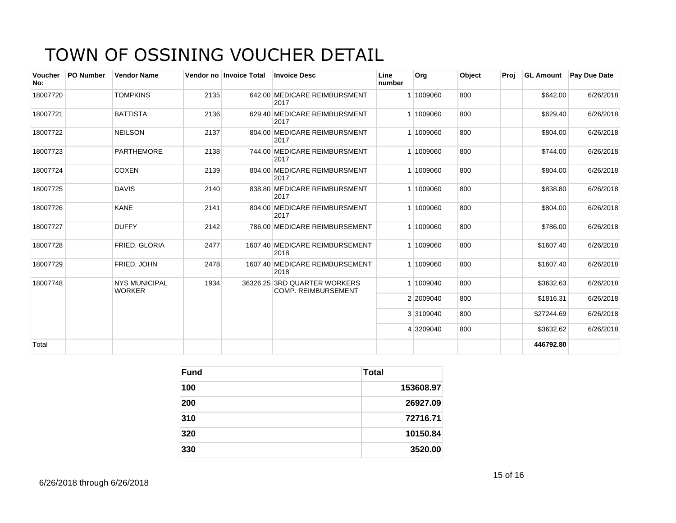| <b>Voucher</b><br>No: | <b>PO Number</b> | <b>Vendor Name</b>                    |      | Vendor no Invoice Total | <b>Invoice Desc</b>                                        | Line<br>number | <b>Org</b> | Object | Proi |            | <b>GL Amount Pay Due Date</b> |
|-----------------------|------------------|---------------------------------------|------|-------------------------|------------------------------------------------------------|----------------|------------|--------|------|------------|-------------------------------|
| 18007720              |                  | <b>TOMPKINS</b>                       | 2135 |                         | 642.00 MEDICARE REIMBURSMENT<br>2017                       |                | 1 1009060  | 800    |      | \$642.00   | 6/26/2018                     |
| 18007721              |                  | <b>BATTISTA</b>                       | 2136 |                         | 629.40 MEDICARE REIMBURSMENT<br>2017                       |                | 1 1009060  | 800    |      | \$629.40   | 6/26/2018                     |
| 18007722              |                  | <b>NEILSON</b>                        | 2137 |                         | 804.00 MEDICARE REIMBURSMENT<br>2017                       |                | 1 1009060  | 800    |      | \$804.00   | 6/26/2018                     |
| 18007723              |                  | <b>PARTHEMORE</b>                     | 2138 |                         | 744.00 MEDICARE REIMBURSMENT<br>2017                       |                | 1 1009060  | 800    |      | \$744.00   | 6/26/2018                     |
| 18007724              |                  | <b>COXEN</b>                          | 2139 |                         | 804.00 MEDICARE REIMBURSMENT<br>2017                       |                | 1 1009060  | 800    |      | \$804.00   | 6/26/2018                     |
| 18007725              |                  | <b>DAVIS</b>                          | 2140 |                         | 838.80 MEDICARE REIMBURSMENT<br>2017                       |                | 1 1009060  | 800    |      | \$838.80   | 6/26/2018                     |
| 18007726              |                  | <b>KANE</b>                           | 2141 |                         | 804.00 MEDICARE REIMBURSMENT<br>2017                       |                | 1 1009060  | 800    |      | \$804.00   | 6/26/2018                     |
| 18007727              |                  | <b>DUFFY</b>                          | 2142 |                         | 786.00 MEDICARE REIMBURSEMENT                              |                | 1 1009060  | 800    |      | \$786.00   | 6/26/2018                     |
| 18007728              |                  | FRIED, GLORIA                         | 2477 |                         | 1607.40 MEDICARE REIMBURSEMENT<br>2018                     |                | 1 1009060  | 800    |      | \$1607.40  | 6/26/2018                     |
| 18007729              |                  | FRIED, JOHN                           | 2478 |                         | 1607.40 MEDICARE REIMBURSEMENT<br>2018                     |                | 1 1009060  | 800    |      | \$1607.40  | 6/26/2018                     |
| 18007748              |                  | <b>NYS MUNICIPAL</b><br><b>WORKER</b> | 1934 |                         | 36326.25 3RD QUARTER WORKERS<br><b>COMP. REIMBURSEMENT</b> |                | 1 1009040  | 800    |      | \$3632.63  | 6/26/2018                     |
|                       |                  |                                       |      |                         |                                                            |                | 2 2009040  | 800    |      | \$1816.31  | 6/26/2018                     |
|                       |                  |                                       |      |                         |                                                            |                | 3 3109040  | 800    |      | \$27244.69 | 6/26/2018                     |
|                       |                  |                                       |      |                         |                                                            |                | 4 3209040  | 800    |      | \$3632.62  | 6/26/2018                     |
| Total                 |                  |                                       |      |                         |                                                            |                |            |        |      | 446792.80  |                               |

| <b>Fund</b> | Total     |
|-------------|-----------|
| 100         | 153608.97 |
| 200         | 26927.09  |
| 310         | 72716.71  |
| 320         | 10150.84  |
| 330         | 3520.00   |